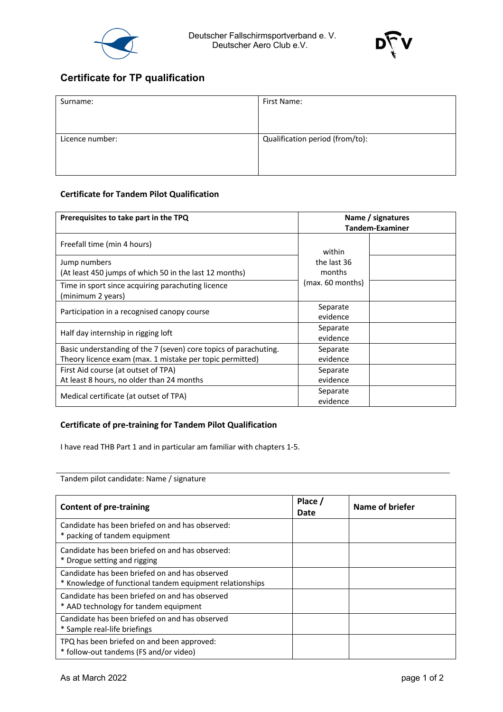



## **Certificate for TP qualification**

| Surname:        | First Name:                     |  |
|-----------------|---------------------------------|--|
| Licence number: | Qualification period (from/to): |  |
|                 |                                 |  |

## **Certificate for Tandem Pilot Qualification**

| Prerequisites to take part in the TPQ                                  | Name / signatures<br><b>Tandem-Examiner</b> |  |
|------------------------------------------------------------------------|---------------------------------------------|--|
| Freefall time (min 4 hours)                                            | within                                      |  |
| Jump numbers<br>(At least 450 jumps of which 50 in the last 12 months) | the last 36<br>months                       |  |
| Time in sport since acquiring parachuting licence<br>(minimum 2 years) | (max. 60 months)                            |  |
| Participation in a recognised canopy course                            | Separate<br>evidence                        |  |
| Half day internship in rigging loft                                    | Separate<br>evidence                        |  |
| Basic understanding of the 7 (seven) core topics of parachuting.       | Separate                                    |  |
| Theory licence exam (max. 1 mistake per topic permitted)               | evidence                                    |  |
| First Aid course (at outset of TPA)                                    | Separate                                    |  |
| At least 8 hours, no older than 24 months                              | evidence                                    |  |
| Medical certificate (at outset of TPA)                                 | Separate<br>evidence                        |  |

## **Certificate of pre-training for Tandem Pilot Qualification**

I have read THB Part 1 and in particular am familiar with chapters 1-5.

Tandem pilot candidate: Name / signature

| <b>Content of pre-training</b>                                                                             | Place /<br>Date | Name of briefer |
|------------------------------------------------------------------------------------------------------------|-----------------|-----------------|
| Candidate has been briefed on and has observed:<br>* packing of tandem equipment                           |                 |                 |
| Candidate has been briefed on and has observed:<br>* Drogue setting and rigging                            |                 |                 |
| Candidate has been briefed on and has observed<br>* Knowledge of functional tandem equipment relationships |                 |                 |
| Candidate has been briefed on and has observed<br>* AAD technology for tandem equipment                    |                 |                 |
| Candidate has been briefed on and has observed<br>* Sample real-life briefings                             |                 |                 |
| TPQ has been briefed on and been approved:<br>* follow-out tandems (FS and/or video)                       |                 |                 |